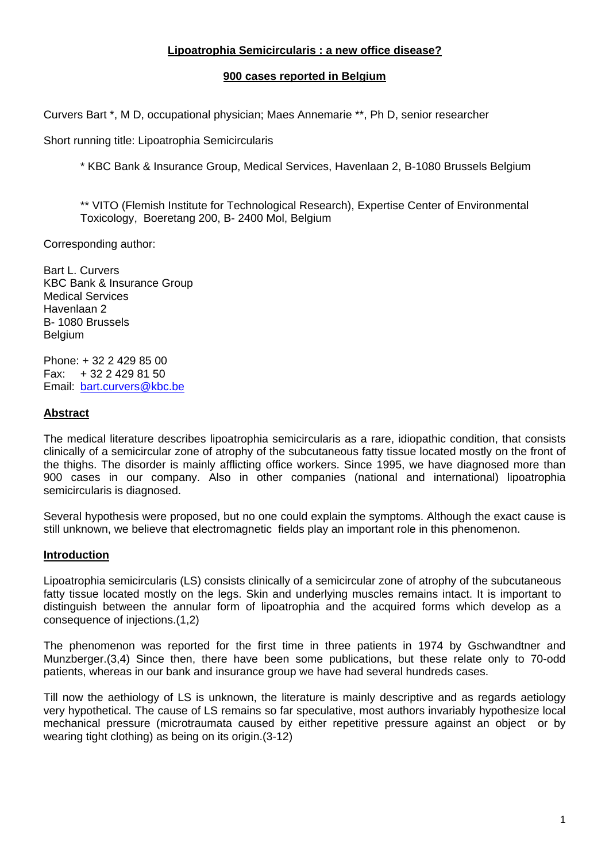# **Lipoatrophia Semicircularis : a new office disease?**

### **900 cases reported in Belgium**

Curvers Bart \*, M D, occupational physician; Maes Annemarie \*\*, Ph D, senior researcher

Short running title: Lipoatrophia Semicircularis

\* KBC Bank & Insurance Group, Medical Services, Havenlaan 2, B-1080 Brussels Belgium

\*\* VITO (Flemish Institute for Technological Research), Expertise Center of Environmental Toxicology, Boeretang 200, B- 2400 Mol, Belgium

Corresponding author:

Bart L. Curvers KBC Bank & Insurance Group Medical Services Havenlaan 2 B- 1080 Brussels Belgium

Phone: + 32 2 429 85 00 Fax: + 32 2 429 81 50 Email: [bart.curvers@kbc.be](mailto:bart.curvers@kbc.be)

### **Abstract**

The medical literature describes lipoatrophia semicircularis as a rare, idiopathic condition, that consists clinically of a semicircular zone of atrophy of the subcutaneous fatty tissue located mostly on the front of the thighs. The disorder is mainly afflicting office workers. Since 1995, we have diagnosed more than 900 cases in our company. Also in other companies (national and international) lipoatrophia semicircularis is diagnosed.

Several hypothesis were proposed, but no one could explain the symptoms. Although the exact cause is still unknown, we believe that electromagnetic fields play an important role in this phenomenon.

### **Introduction**

Lipoatrophia semicircularis (LS) consists clinically of a semicircular zone of atrophy of the subcutaneous fatty tissue located mostly on the legs. Skin and underlying muscles remains intact. It is important to distinguish between the annular form of lipoatrophia and the acquired forms which develop as a consequence of injections.(1,2)

The phenomenon was reported for the first time in three patients in 1974 by Gschwandtner and Munzberger.(3,4) Since then, there have been some publications, but these relate only to 70-odd patients, whereas in our bank and insurance group we have had several hundreds cases.

Till now the aethiology of LS is unknown, the literature is mainly descriptive and as regards aetiology very hypothetical. The cause of LS remains so far speculative, most authors invariably hypothesize local mechanical pressure (microtraumata caused by either repetitive pressure against an object or by wearing tight clothing) as being on its origin.(3-12)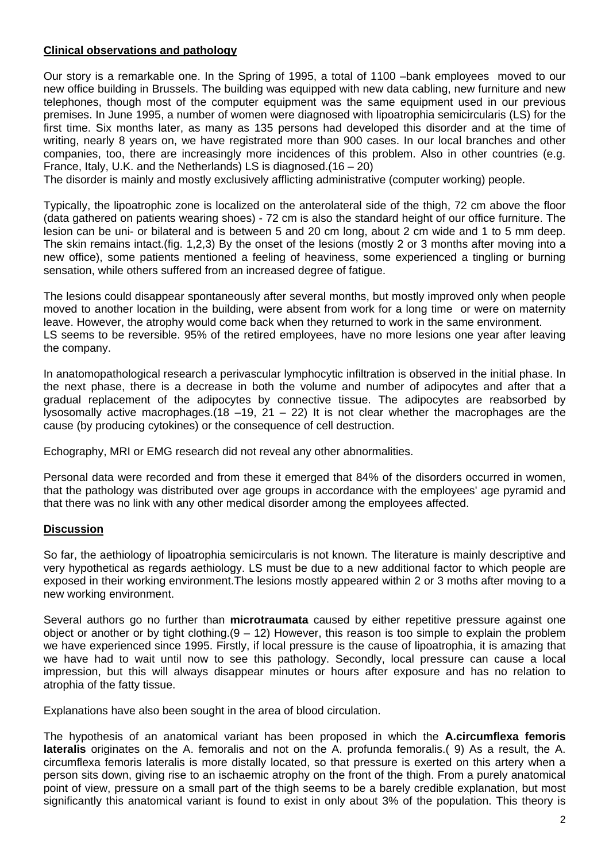## **Clinical observations and pathology**

Our story is a remarkable one. In the Spring of 1995, a total of 1100 –bank employees moved to our new office building in Brussels. The building was equipped with new data cabling, new furniture and new telephones, though most of the computer equipment was the same equipment used in our previous premises. In June 1995, a number of women were diagnosed with lipoatrophia semicircularis (LS) for the first time. Six months later, as many as 135 persons had developed this disorder and at the time of writing, nearly 8 years on, we have registrated more than 900 cases. In our local branches and other companies, too, there are increasingly more incidences of this problem. Also in other countries (e.g. France, Italy, U.K. and the Netherlands) LS is diagnosed.(16 – 20)

The disorder is mainly and mostly exclusively afflicting administrative (computer working) people.

Typically, the lipoatrophic zone is localized on the anterolateral side of the thigh, 72 cm above the floor (data gathered on patients wearing shoes) - 72 cm is also the standard height of our office furniture. The lesion can be uni- or bilateral and is between 5 and 20 cm long, about 2 cm wide and 1 to 5 mm deep. The skin remains intact.(fig. 1,2,3) By the onset of the lesions (mostly 2 or 3 months after moving into a new office), some patients mentioned a feeling of heaviness, some experienced a tingling or burning sensation, while others suffered from an increased degree of fatigue.

The lesions could disappear spontaneously after several months, but mostly improved only when people moved to another location in the building, were absent from work for a long time or were on maternity leave. However, the atrophy would come back when they returned to work in the same environment. LS seems to be reversible. 95% of the retired employees, have no more lesions one year after leaving the company.

In anatomopathological research a perivascular lymphocytic infiltration is observed in the initial phase. In the next phase, there is a decrease in both the volume and number of adipocytes and after that a gradual replacement of the adipocytes by connective tissue. The adipocytes are reabsorbed by lysosomally active macrophages.(18 –19, 21 – 22) It is not clear whether the macrophages are the cause (by producing cytokines) or the consequence of cell destruction.

Echography, MRI or EMG research did not reveal any other abnormalities.

Personal data were recorded and from these it emerged that 84% of the disorders occurred in women, that the pathology was distributed over age groups in accordance with the employees' age pyramid and that there was no link with any other medical disorder among the employees affected.

### **Discussion**

So far, the aethiology of lipoatrophia semicircularis is not known. The literature is mainly descriptive and very hypothetical as regards aethiology. LS must be due to a new additional factor to which people are exposed in their working environment.The lesions mostly appeared within 2 or 3 moths after moving to a new working environment.

Several authors go no further than **microtraumata** caused by either repetitive pressure against one object or another or by tight clothing.  $(9 - 12)$  However, this reason is too simple to explain the problem we have experienced since 1995. Firstly, if local pressure is the cause of lipoatrophia, it is amazing that we have had to wait until now to see this pathology. Secondly, local pressure can cause a local impression, but this will always disappear minutes or hours after exposure and has no relation to atrophia of the fatty tissue.

Explanations have also been sought in the area of blood circulation.

The hypothesis of an anatomical variant has been proposed in which the **A.circumflexa femoris lateralis** originates on the A. femoralis and not on the A. profunda femoralis.( 9) As a result, the A. circumflexa femoris lateralis is more distally located, so that pressure is exerted on this artery when a person sits down, giving rise to an ischaemic atrophy on the front of the thigh. From a purely anatomical point of view, pressure on a small part of the thigh seems to be a barely credible explanation, but most significantly this anatomical variant is found to exist in only about 3% of the population. This theory is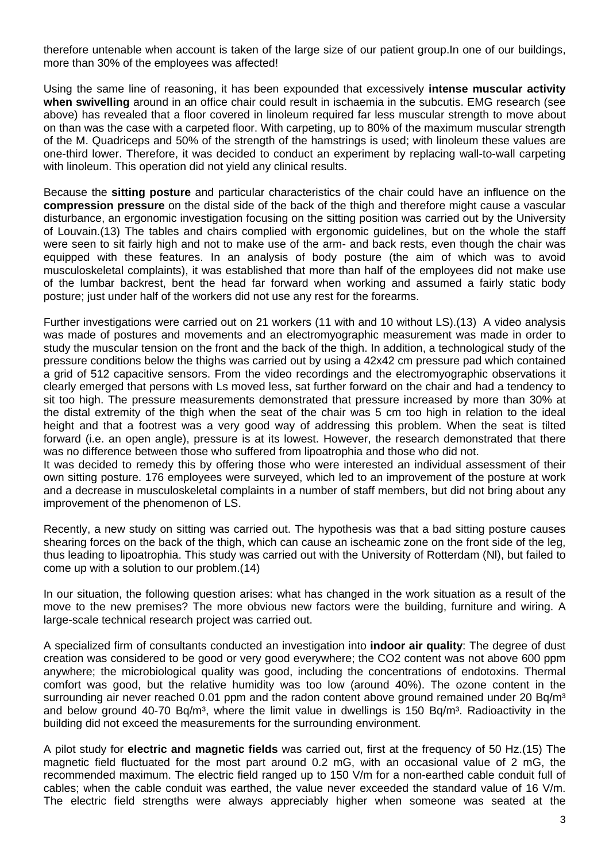therefore untenable when account is taken of the large size of our patient group.In one of our buildings, more than 30% of the employees was affected!

Using the same line of reasoning, it has been expounded that excessively **intense muscular activity when swivelling** around in an office chair could result in ischaemia in the subcutis. EMG research (see above) has revealed that a floor covered in linoleum required far less muscular strength to move about on than was the case with a carpeted floor. With carpeting, up to 80% of the maximum muscular strength of the M. Quadriceps and 50% of the strength of the hamstrings is used; with linoleum these values are one-third lower. Therefore, it was decided to conduct an experiment by replacing wall-to-wall carpeting with linoleum. This operation did not yield any clinical results.

Because the **sitting posture** and particular characteristics of the chair could have an influence on the **compression pressure** on the distal side of the back of the thigh and therefore might cause a vascular disturbance, an ergonomic investigation focusing on the sitting position was carried out by the University of Louvain.(13) The tables and chairs complied with ergonomic guidelines, but on the whole the staff were seen to sit fairly high and not to make use of the arm- and back rests, even though the chair was equipped with these features. In an analysis of body posture (the aim of which was to avoid musculoskeletal complaints), it was established that more than half of the employees did not make use of the lumbar backrest, bent the head far forward when working and assumed a fairly static body posture; just under half of the workers did not use any rest for the forearms.

Further investigations were carried out on 21 workers (11 with and 10 without LS).(13) A video analysis was made of postures and movements and an electromyographic measurement was made in order to study the muscular tension on the front and the back of the thigh. In addition, a technological study of the pressure conditions below the thighs was carried out by using a 42x42 cm pressure pad which contained a grid of 512 capacitive sensors. From the video recordings and the electromyographic observations it clearly emerged that persons with Ls moved less, sat further forward on the chair and had a tendency to sit too high. The pressure measurements demonstrated that pressure increased by more than 30% at the distal extremity of the thigh when the seat of the chair was 5 cm too high in relation to the ideal height and that a footrest was a very good way of addressing this problem. When the seat is tilted forward (i.e. an open angle), pressure is at its lowest. However, the research demonstrated that there was no difference between those who suffered from lipoatrophia and those who did not.

It was decided to remedy this by offering those who were interested an individual assessment of their own sitting posture. 176 employees were surveyed, which led to an improvement of the posture at work and a decrease in musculoskeletal complaints in a number of staff members, but did not bring about any improvement of the phenomenon of LS.

Recently, a new study on sitting was carried out. The hypothesis was that a bad sitting posture causes shearing forces on the back of the thigh, which can cause an ischeamic zone on the front side of the leg, thus leading to lipoatrophia. This study was carried out with the University of Rotterdam (Nl), but failed to come up with a solution to our problem.(14)

In our situation, the following question arises: what has changed in the work situation as a result of the move to the new premises? The more obvious new factors were the building, furniture and wiring. A large-scale technical research project was carried out.

A specialized firm of consultants conducted an investigation into **indoor air quality**: The degree of dust creation was considered to be good or very good everywhere; the CO2 content was not above 600 ppm anywhere; the microbiological quality was good, including the concentrations of endotoxins. Thermal comfort was good, but the relative humidity was too low (around 40%). The ozone content in the surrounding air never reached 0.01 ppm and the radon content above ground remained under 20 Bq/m<sup>3</sup> and below ground 40-70 Bq/m<sup>3</sup>, where the limit value in dwellings is 150 Bq/m<sup>3</sup>. Radioactivity in the building did not exceed the measurements for the surrounding environment.

A pilot study for **electric and magnetic fields** was carried out, first at the frequency of 50 Hz.(15) The magnetic field fluctuated for the most part around 0.2 mG, with an occasional value of 2 mG, the recommended maximum. The electric field ranged up to 150 V/m for a non-earthed cable conduit full of cables; when the cable conduit was earthed, the value never exceeded the standard value of 16 V/m. The electric field strengths were always appreciably higher when someone was seated at the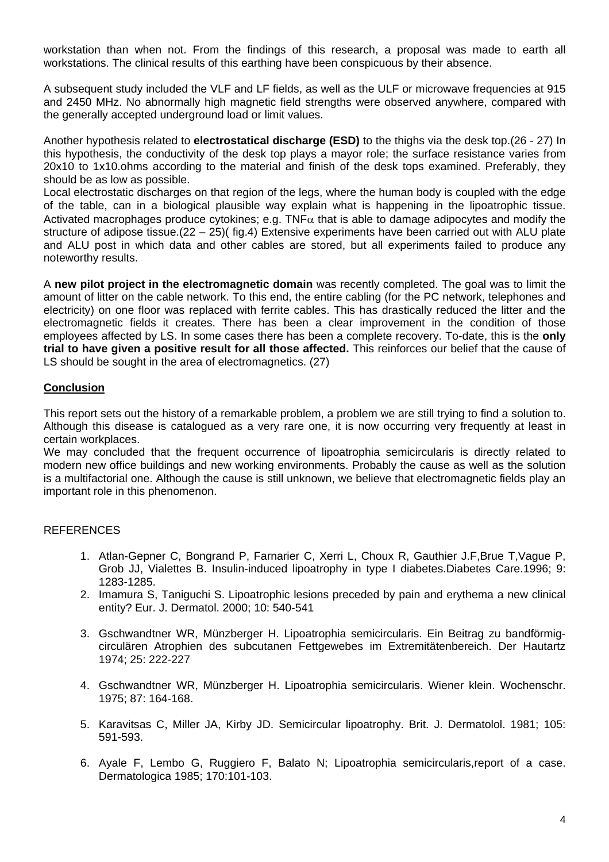workstation than when not. From the findings of this research, a proposal was made to earth all workstations. The clinical results of this earthing have been conspicuous by their absence.

A subsequent study included the VLF and LF fields, as well as the ULF or microwave frequencies at 915 and 2450 MHz. No abnormally high magnetic field strengths were observed anywhere, compared with the generally accepted underground load or limit values.

Another hypothesis related to **electrostatical discharge (ESD)** to the thighs via the desk top.(26 - 27) In this hypothesis, the conductivity of the desk top plays a mayor role; the surface resistance varies from 20x10 to 1x10.ohms according to the material and finish of the desk tops examined. Preferably, they should be as low as possible.

Local electrostatic discharges on that region of the legs, where the human body is coupled with the edge of the table, can in a biological plausible way explain what is happening in the lipoatrophic tissue. Activated macrophages produce cytokines; e.g. TNF $\alpha$  that is able to damage adipocytes and modify the structure of adipose tissue.(22 – 25)( fig.4) Extensive experiments have been carried out with ALU plate and ALU post in which data and other cables are stored, but all experiments failed to produce any noteworthy results.

A **new pilot project in the electromagnetic domain** was recently completed. The goal was to limit the amount of litter on the cable network. To this end, the entire cabling (for the PC network, telephones and electricity) on one floor was replaced with ferrite cables. This has drastically reduced the litter and the electromagnetic fields it creates. There has been a clear improvement in the condition of those employees affected by LS. In some cases there has been a complete recovery. To-date, this is the **only trial to have given a positive result for all those affected.** This reinforces our belief that the cause of LS should be sought in the area of electromagnetics. (27)

### **Conclusion**

This report sets out the history of a remarkable problem, a problem we are still trying to find a solution to. Although this disease is catalogued as a very rare one, it is now occurring very frequently at least in certain workplaces.

We may concluded that the frequent occurrence of lipoatrophia semicircularis is directly related to modern new office buildings and new working environments. Probably the cause as well as the solution is a multifactorial one. Although the cause is still unknown, we believe that electromagnetic fields play an important role in this phenomenon.

### REFERENCES

- 1. Atlan-Gepner C, Bongrand P, Farnarier C, Xerri L, Choux R, Gauthier J.F,Brue T,Vague P, Grob JJ, Vialettes B. Insulin-induced lipoatrophy in type I diabetes.Diabetes Care.1996; 9: 1283-1285.
- 2. Imamura S, Taniguchi S. Lipoatrophic lesions preceded by pain and erythema a new clinical entity? Eur. J. Dermatol. 2000; 10: 540-541
- 3. Gschwandtner WR, Münzberger H. Lipoatrophia semicircularis. Ein Beitrag zu bandförmigcirculären Atrophien des subcutanen Fettgewebes im Extremitätenbereich. Der Hautartz 1974; 25: 222-227
- 4. Gschwandtner WR, Münzberger H. Lipoatrophia semicircularis. Wiener klein. Wochenschr. 1975; 87: 164-168.
- 5. Karavitsas C, Miller JA, Kirby JD. Semicircular lipoatrophy. Brit. J. Dermatolol. 1981; 105: 591-593.
- 6. Ayale F, Lembo G, Ruggiero F, Balato N; Lipoatrophia semicircularis,report of a case. Dermatologica 1985; 170:101-103.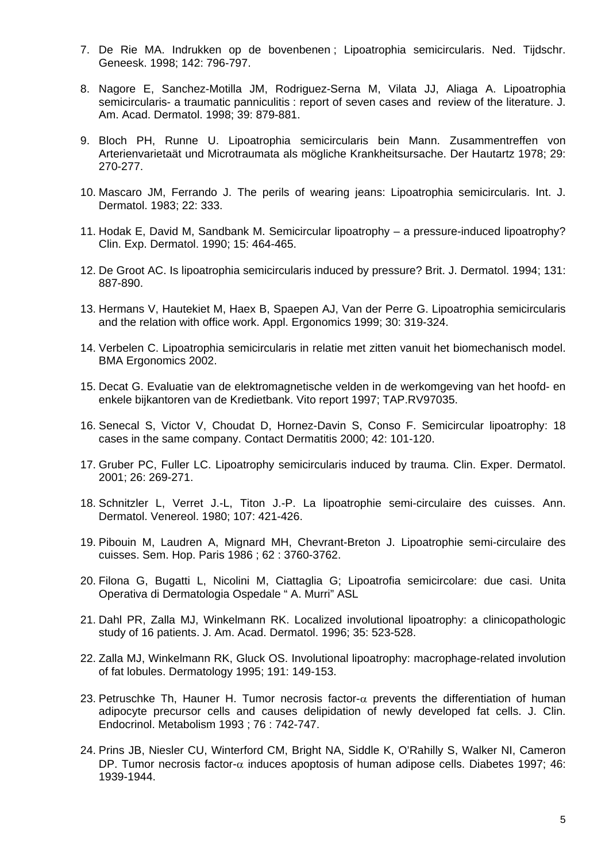- 7. De Rie MA. Indrukken op de bovenbenen ; Lipoatrophia semicircularis. Ned. Tijdschr. Geneesk. 1998; 142: 796-797.
- 8. Nagore E, Sanchez-Motilla JM, Rodriguez-Serna M, Vilata JJ, Aliaga A. Lipoatrophia semicircularis- a traumatic panniculitis : report of seven cases and review of the literature. J. Am. Acad. Dermatol. 1998; 39: 879-881.
- 9. Bloch PH, Runne U. Lipoatrophia semicircularis bein Mann. Zusammentreffen von Arterienvarietaät und Microtraumata als mögliche Krankheitsursache. Der Hautartz 1978; 29: 270-277.
- 10. Mascaro JM, Ferrando J. The perils of wearing jeans: Lipoatrophia semicircularis. Int. J. Dermatol. 1983; 22: 333.
- 11. Hodak E, David M, Sandbank M. Semicircular lipoatrophy a pressure-induced lipoatrophy? Clin. Exp. Dermatol. 1990; 15: 464-465.
- 12. De Groot AC. Is lipoatrophia semicircularis induced by pressure? Brit. J. Dermatol. 1994; 131: 887-890.
- 13. Hermans V, Hautekiet M, Haex B, Spaepen AJ, Van der Perre G. Lipoatrophia semicircularis and the relation with office work. Appl. Ergonomics 1999; 30: 319-324.
- 14. Verbelen C. Lipoatrophia semicircularis in relatie met zitten vanuit het biomechanisch model. BMA Ergonomics 2002.
- 15. Decat G. Evaluatie van de elektromagnetische velden in de werkomgeving van het hoofd- en enkele bijkantoren van de Kredietbank. Vito report 1997; TAP.RV97035.
- 16. Senecal S, Victor V, Choudat D, Hornez-Davin S, Conso F. Semicircular lipoatrophy: 18 cases in the same company. Contact Dermatitis 2000; 42: 101-120.
- 17. Gruber PC, Fuller LC. Lipoatrophy semicircularis induced by trauma. Clin. Exper. Dermatol. 2001; 26: 269-271.
- 18. Schnitzler L, Verret J.-L, Titon J.-P. La lipoatrophie semi-circulaire des cuisses. Ann. Dermatol. Venereol. 1980; 107: 421-426.
- 19. Pibouin M, Laudren A, Mignard MH, Chevrant-Breton J. Lipoatrophie semi-circulaire des cuisses. Sem. Hop. Paris 1986 ; 62 : 3760-3762.
- 20. Filona G, Bugatti L, Nicolini M, Ciattaglia G; Lipoatrofia semicircolare: due casi. Unita Operativa di Dermatologia Ospedale " A. Murri" ASL
- 21. Dahl PR, Zalla MJ, Winkelmann RK. Localized involutional lipoatrophy: a clinicopathologic study of 16 patients. J. Am. Acad. Dermatol. 1996; 35: 523-528.
- 22. Zalla MJ, Winkelmann RK, Gluck OS. Involutional lipoatrophy: macrophage-related involution of fat lobules. Dermatology 1995; 191: 149-153.
- 23. Petruschke Th, Hauner H. Tumor necrosis factor- $\alpha$  prevents the differentiation of human adipocyte precursor cells and causes delipidation of newly developed fat cells. J. Clin. Endocrinol. Metabolism 1993 ; 76 : 742-747.
- 24. Prins JB, Niesler CU, Winterford CM, Bright NA, Siddle K, O'Rahilly S, Walker NI, Cameron DP. Tumor necrosis factor- $\alpha$  induces apoptosis of human adipose cells. Diabetes 1997: 46: 1939-1944.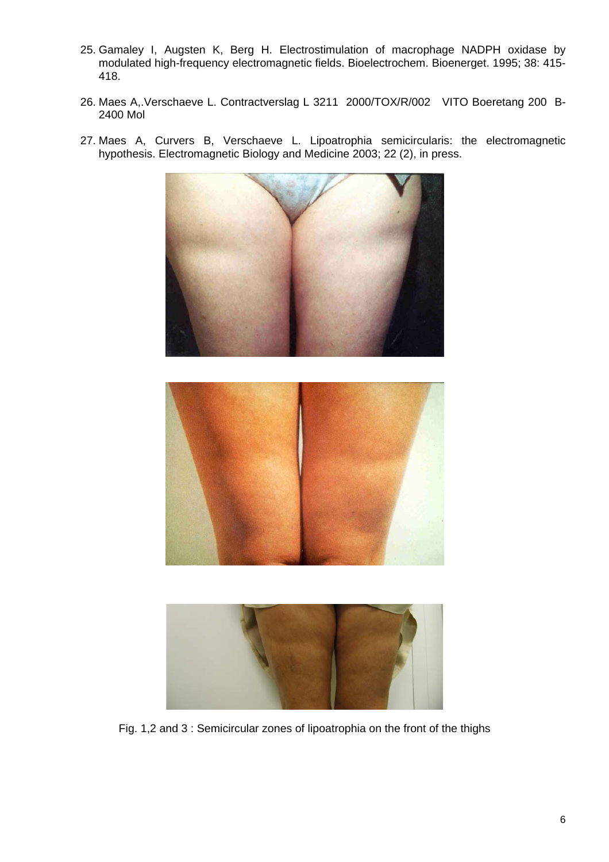- 25. Gamaley I, Augsten K, Berg H. Electrostimulation of macrophage NADPH oxidase by modulated high-frequency electromagnetic fields. Bioelectrochem. Bioenerget. 1995; 38: 415- 418.
- 26. Maes A,.Verschaeve L. Contractverslag L 3211 2000/TOX/R/002 VITO Boeretang 200 B-2400 Mol







Fig. 1,2 and 3 : Semicircular zones of lipoatrophia on the front of the thighs

27. Maes A, Curvers B, Verschaeve L. Lipoatrophia semicircularis: the electromagnetic hypothesis. Electromagnetic Biology and Medicine 2003; 22 (2), in press.